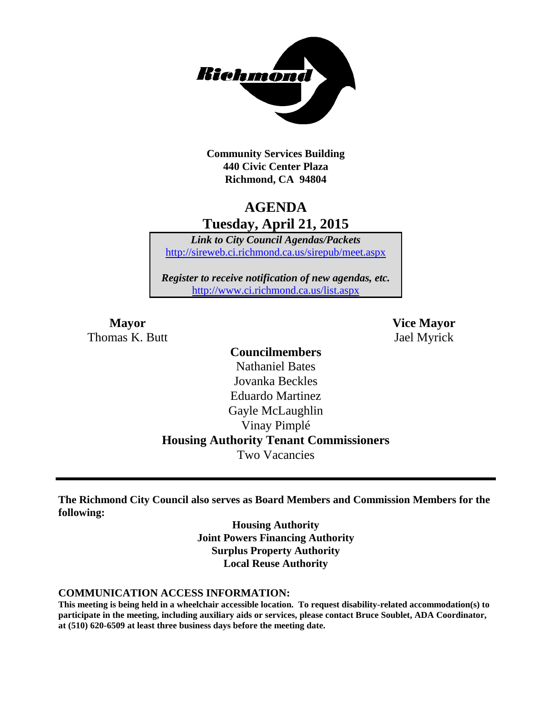

**Community Services Building 440 Civic Center Plaza Richmond, CA 94804**

## **AGENDA Tuesday, April 21, 2015**

*Link to City Council Agendas/Packets* <http://sireweb.ci.richmond.ca.us/sirepub/meet.aspx>

*Register to receive notification of new agendas, etc.* <http://www.ci.richmond.ca.us/list.aspx>

Thomas K. Butt Jael Myrick

**Mayor Vice Mayor**

### **Councilmembers**

Nathaniel Bates Jovanka Beckles Eduardo Martinez Gayle McLaughlin Vinay Pimplé **Housing Authority Tenant Commissioners** Two Vacancies

**The Richmond City Council also serves as Board Members and Commission Members for the following:**

> **Housing Authority Joint Powers Financing Authority Surplus Property Authority Local Reuse Authority**

#### **COMMUNICATION ACCESS INFORMATION:**

**This meeting is being held in a wheelchair accessible location. To request disability-related accommodation(s) to participate in the meeting, including auxiliary aids or services, please contact Bruce Soublet, ADA Coordinator, at (510) 620-6509 at least three business days before the meeting date.**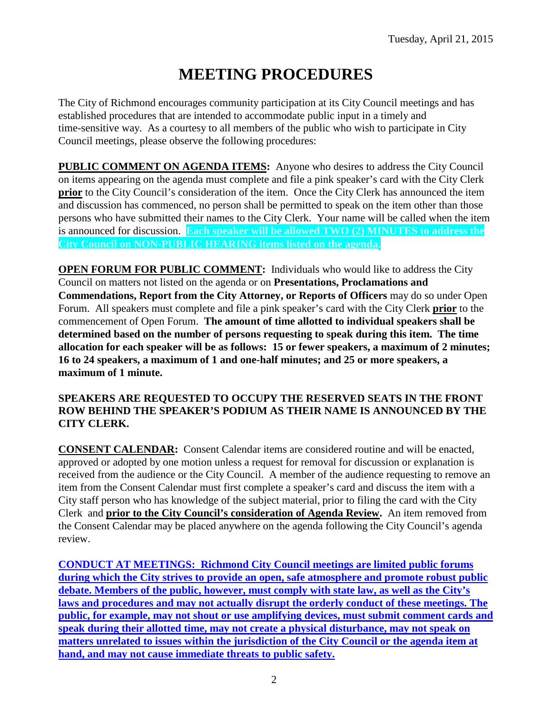# **MEETING PROCEDURES**

The City of Richmond encourages community participation at its City Council meetings and has established procedures that are intended to accommodate public input in a timely and time-sensitive way. As a courtesy to all members of the public who wish to participate in City Council meetings, please observe the following procedures:

**PUBLIC COMMENT ON AGENDA ITEMS:** Anyone who desires to address the City Council on items appearing on the agenda must complete and file a pink speaker's card with the City Clerk **prior** to the City Council's consideration of the item. Once the City Clerk has announced the item and discussion has commenced, no person shall be permitted to speak on the item other than those persons who have submitted their names to the City Clerk. Your name will be called when the item is announced for discussion. **Each speaker will be allowed TWO (2) MINUTES to address the City Council on NON-PUBLIC HEARING items listed on the agenda.**

**OPEN FORUM FOR PUBLIC COMMENT:** Individuals who would like to address the City Council on matters not listed on the agenda or on **Presentations, Proclamations and Commendations, Report from the City Attorney, or Reports of Officers** may do so under Open Forum. All speakers must complete and file a pink speaker's card with the City Clerk **prior** to the commencement of Open Forum. **The amount of time allotted to individual speakers shall be determined based on the number of persons requesting to speak during this item. The time allocation for each speaker will be as follows: 15 or fewer speakers, a maximum of 2 minutes; 16 to 24 speakers, a maximum of 1 and one-half minutes; and 25 or more speakers, a maximum of 1 minute.**

### **SPEAKERS ARE REQUESTED TO OCCUPY THE RESERVED SEATS IN THE FRONT ROW BEHIND THE SPEAKER'S PODIUM AS THEIR NAME IS ANNOUNCED BY THE CITY CLERK.**

**CONSENT CALENDAR:** Consent Calendar items are considered routine and will be enacted, approved or adopted by one motion unless a request for removal for discussion or explanation is received from the audience or the City Council. A member of the audience requesting to remove an item from the Consent Calendar must first complete a speaker's card and discuss the item with a City staff person who has knowledge of the subject material, prior to filing the card with the City Clerk and **prior to the City Council's consideration of Agenda Review.** An item removed from the Consent Calendar may be placed anywhere on the agenda following the City Council's agenda review.

**CONDUCT AT MEETINGS: Richmond City Council meetings are limited public forums during which the City strives to provide an open, safe atmosphere and promote robust public debate. Members of the public, however, must comply with state law, as well as the City's laws and procedures and may not actually disrupt the orderly conduct of these meetings. The public, for example, may not shout or use amplifying devices, must submit comment cards and speak during their allotted time, may not create a physical disturbance, may not speak on matters unrelated to issues within the jurisdiction of the City Council or the agenda item at hand, and may not cause immediate threats to public safety.**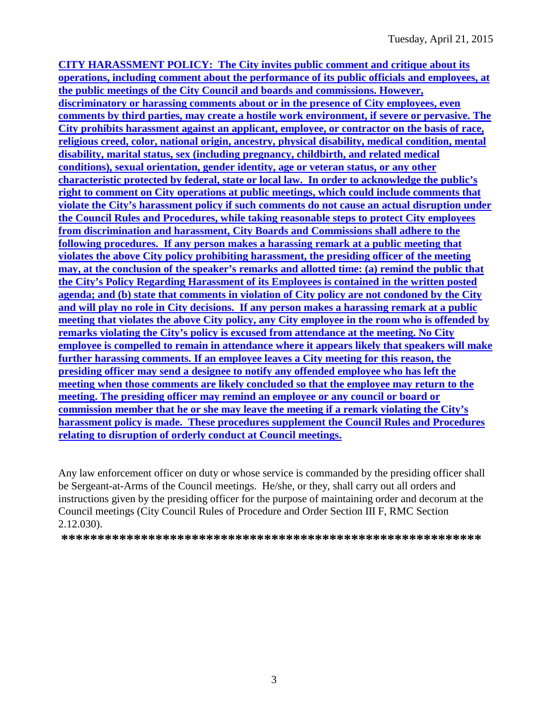**CITY HARASSMENT POLICY: The City invites public comment and critique about its operations, including comment about the performance of its public officials and employees, at the public meetings of the City Council and boards and commissions. However, discriminatory or harassing comments about or in the presence of City employees, even comments by third parties, may create a hostile work environment, if severe or pervasive. The City prohibits harassment against an applicant, employee, or contractor on the basis of race, religious creed, color, national origin, ancestry, physical disability, medical condition, mental disability, marital status, sex (including pregnancy, childbirth, and related medical conditions), sexual orientation, gender identity, age or veteran status, or any other characteristic protected by federal, state or local law. In order to acknowledge the public's right to comment on City operations at public meetings, which could include comments that violate the City's harassment policy if such comments do not cause an actual disruption under the Council Rules and Procedures, while taking reasonable steps to protect City employees from discrimination and harassment, City Boards and Commissions shall adhere to the following procedures. If any person makes a harassing remark at a public meeting that violates the above City policy prohibiting harassment, the presiding officer of the meeting may, at the conclusion of the speaker's remarks and allotted time: (a) remind the public that the City's Policy Regarding Harassment of its Employees is contained in the written posted agenda; and (b) state that comments in violation of City policy are not condoned by the City and will play no role in City decisions. If any person makes a harassing remark at a public meeting that violates the above City policy, any City employee in the room who is offended by remarks violating the City's policy is excused from attendance at the meeting. No City employee is compelled to remain in attendance where it appears likely that speakers will make further harassing comments. If an employee leaves a City meeting for this reason, the presiding officer may send a designee to notify any offended employee who has left the meeting when those comments are likely concluded so that the employee may return to the meeting. The presiding officer may remind an employee or any council or board or commission member that he or she may leave the meeting if a remark violating the City's harassment policy is made. These procedures supplement the Council Rules and Procedures relating to disruption of orderly conduct at Council meetings.**

Any law enforcement officer on duty or whose service is commanded by the presiding officer shall be Sergeant-at-Arms of the Council meetings. He/she, or they, shall carry out all orders and instructions given by the presiding officer for the purpose of maintaining order and decorum at the Council meetings (City Council Rules of Procedure and Order Section III F, RMC Section 2.12.030).

**\*\*\*\*\*\*\*\*\*\*\*\*\*\*\*\*\*\*\*\*\*\*\*\*\*\*\*\*\*\*\*\*\*\*\*\*\*\*\*\*\*\*\*\*\*\*\*\*\*\*\*\*\*\*\*\*\*\***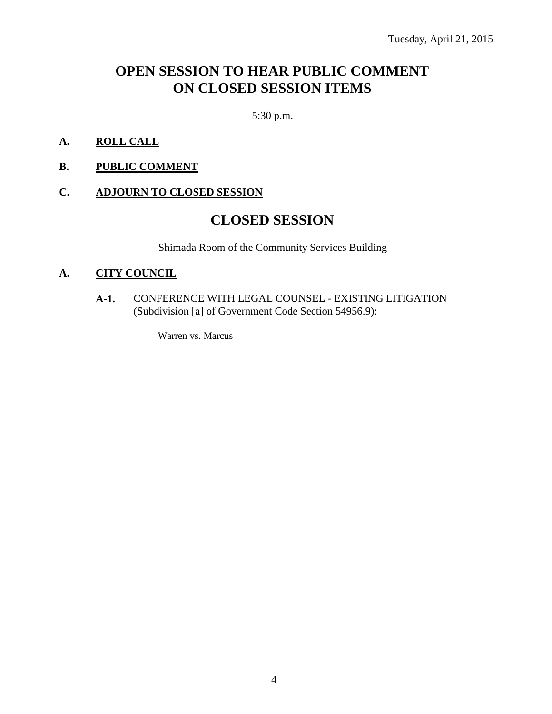## **OPEN SESSION TO HEAR PUBLIC COMMENT ON CLOSED SESSION ITEMS**

5:30 p.m.

- **A. ROLL CALL**
- **B. PUBLIC COMMENT**

### **C. ADJOURN TO CLOSED SESSION**

### **CLOSED SESSION**

Shimada Room of the Community Services Building

### **A. CITY COUNCIL**

**A-1.** CONFERENCE WITH LEGAL COUNSEL - EXISTING LITIGATION (Subdivision [a] of Government Code Section 54956.9):

Warren vs. Marcus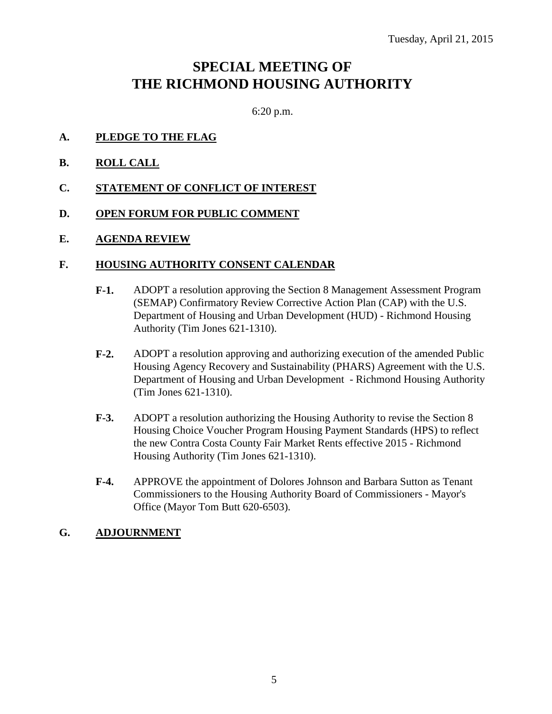### **SPECIAL MEETING OF THE RICHMOND HOUSING AUTHORITY**

6:20 p.m.

- **A. PLEDGE TO THE FLAG**
- **B. ROLL CALL**
- **C. STATEMENT OF CONFLICT OF INTEREST**
- **D. OPEN FORUM FOR PUBLIC COMMENT**
- **E. AGENDA REVIEW**

#### **F. HOUSING AUTHORITY CONSENT CALENDAR**

- **F-1.** ADOPT a resolution approving the Section 8 Management Assessment Program (SEMAP) Confirmatory Review Corrective Action Plan (CAP) with the U.S. Department of Housing and Urban Development (HUD) - Richmond Housing Authority (Tim Jones 621-1310).
- **F-2.** ADOPT a resolution approving and authorizing execution of the amended Public Housing Agency Recovery and Sustainability (PHARS) Agreement with the U.S. Department of Housing and Urban Development - Richmond Housing Authority (Tim Jones 621-1310).
- **F-3.** ADOPT a resolution authorizing the Housing Authority to revise the Section 8 Housing Choice Voucher Program Housing Payment Standards (HPS) to reflect the new Contra Costa County Fair Market Rents effective 2015 - Richmond Housing Authority (Tim Jones 621-1310).
- **F-4.** APPROVE the appointment of Dolores Johnson and Barbara Sutton as Tenant Commissioners to the Housing Authority Board of Commissioners - Mayor's Office (Mayor Tom Butt 620-6503).

### **G. ADJOURNMENT**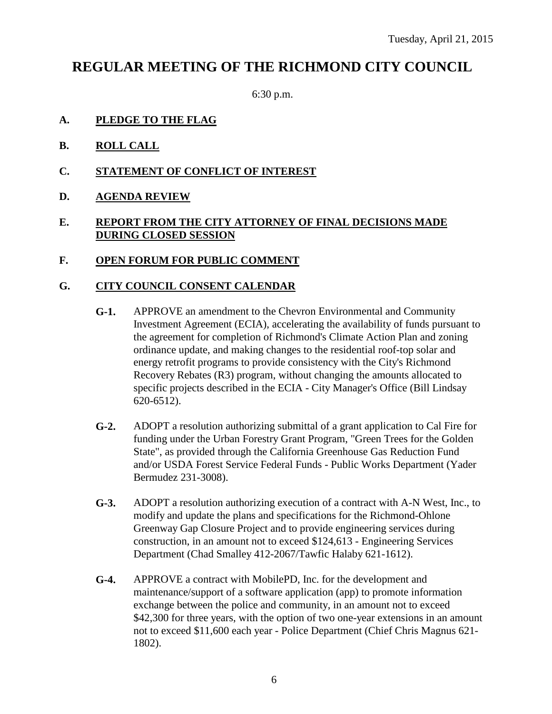### **REGULAR MEETING OF THE RICHMOND CITY COUNCIL**

6:30 p.m.

- **A. PLEDGE TO THE FLAG**
- **B. ROLL CALL**
- **C. STATEMENT OF CONFLICT OF INTEREST**
- **D. AGENDA REVIEW**

### **E. REPORT FROM THE CITY ATTORNEY OF FINAL DECISIONS MADE DURING CLOSED SESSION**

**F. OPEN FORUM FOR PUBLIC COMMENT**

### **G. CITY COUNCIL CONSENT CALENDAR**

- **G-1.** APPROVE an amendment to the Chevron Environmental and Community Investment Agreement (ECIA), accelerating the availability of funds pursuant to the agreement for completion of Richmond's Climate Action Plan and zoning ordinance update, and making changes to the residential roof-top solar and energy retrofit programs to provide consistency with the City's Richmond Recovery Rebates (R3) program, without changing the amounts allocated to specific projects described in the ECIA - City Manager's Office (Bill Lindsay 620-6512).
- **G-2.** ADOPT a resolution authorizing submittal of a grant application to Cal Fire for funding under the Urban Forestry Grant Program, "Green Trees for the Golden State", as provided through the California Greenhouse Gas Reduction Fund and/or USDA Forest Service Federal Funds - Public Works Department (Yader Bermudez 231-3008).
- **G-3.** ADOPT a resolution authorizing execution of a contract with A-N West, Inc., to modify and update the plans and specifications for the Richmond-Ohlone Greenway Gap Closure Project and to provide engineering services during construction, in an amount not to exceed \$124,613 - Engineering Services Department (Chad Smalley 412-2067/Tawfic Halaby 621-1612).
- **G-4.** APPROVE a contract with MobilePD, Inc. for the development and maintenance/support of a software application (app) to promote information exchange between the police and community, in an amount not to exceed \$42,300 for three years, with the option of two one-year extensions in an amount not to exceed \$11,600 each year - Police Department (Chief Chris Magnus 621- 1802).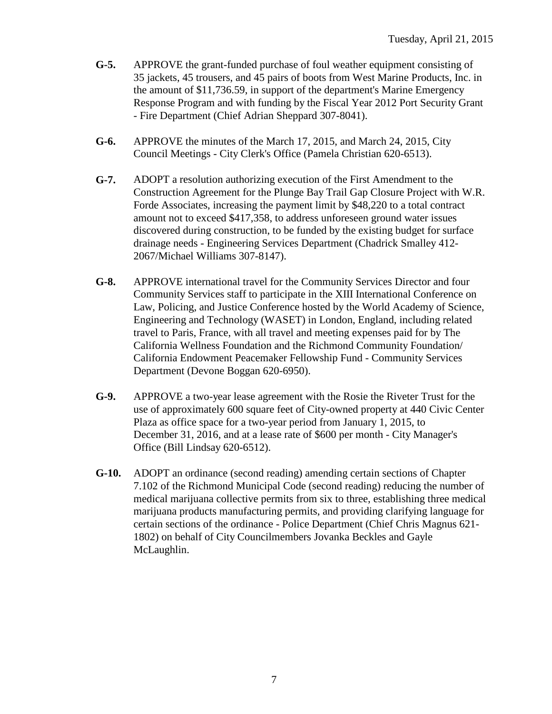- **G-5.** APPROVE the grant-funded purchase of foul weather equipment consisting of 35 jackets, 45 trousers, and 45 pairs of boots from West Marine Products, Inc. in the amount of \$11,736.59, in support of the department's Marine Emergency Response Program and with funding by the Fiscal Year 2012 Port Security Grant - Fire Department (Chief Adrian Sheppard 307-8041).
- **G-6.** APPROVE the minutes of the March 17, 2015, and March 24, 2015, City Council Meetings - City Clerk's Office (Pamela Christian 620-6513).
- **G-7.** ADOPT a resolution authorizing execution of the First Amendment to the Construction Agreement for the Plunge Bay Trail Gap Closure Project with W.R. Forde Associates, increasing the payment limit by \$48,220 to a total contract amount not to exceed \$417,358, to address unforeseen ground water issues discovered during construction, to be funded by the existing budget for surface drainage needs - Engineering Services Department (Chadrick Smalley 412- 2067/Michael Williams 307-8147).
- **G-8.** APPROVE international travel for the Community Services Director and four Community Services staff to participate in the XIII International Conference on Law, Policing, and Justice Conference hosted by the World Academy of Science, Engineering and Technology (WASET) in London, England, including related travel to Paris, France, with all travel and meeting expenses paid for by The California Wellness Foundation and the Richmond Community Foundation/ California Endowment Peacemaker Fellowship Fund - Community Services Department (Devone Boggan 620-6950).
- **G-9.** APPROVE a two-year lease agreement with the Rosie the Riveter Trust for the use of approximately 600 square feet of City-owned property at 440 Civic Center Plaza as office space for a two-year period from January 1, 2015, to December 31, 2016, and at a lease rate of \$600 per month - City Manager's Office (Bill Lindsay 620-6512).
- **G-10.** ADOPT an ordinance (second reading) amending certain sections of Chapter 7.102 of the Richmond Municipal Code (second reading) reducing the number of medical marijuana collective permits from six to three, establishing three medical marijuana products manufacturing permits, and providing clarifying language for certain sections of the ordinance - Police Department (Chief Chris Magnus 621- 1802) on behalf of City Councilmembers Jovanka Beckles and Gayle McLaughlin.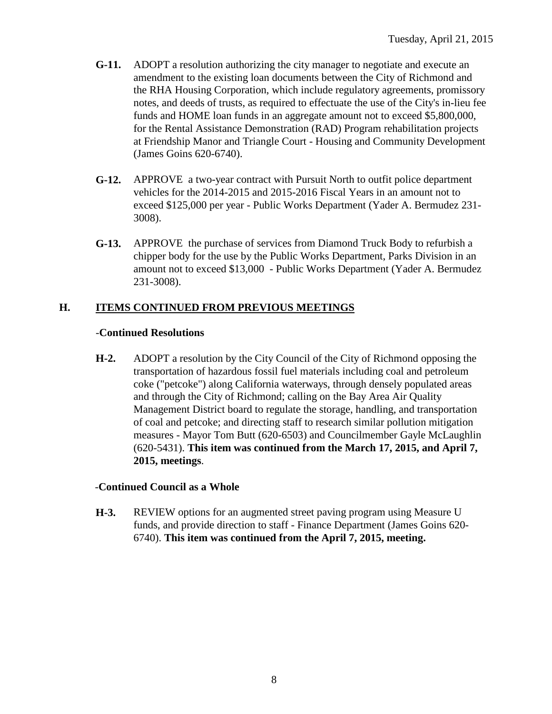- **G-11.** ADOPT a resolution authorizing the city manager to negotiate and execute an amendment to the existing loan documents between the City of Richmond and the RHA Housing Corporation, which include regulatory agreements, promissory notes, and deeds of trusts, as required to effectuate the use of the City's in-lieu fee funds and HOME loan funds in an aggregate amount not to exceed \$5,800,000, for the Rental Assistance Demonstration (RAD) Program rehabilitation projects at Friendship Manor and Triangle Court - Housing and Community Development (James Goins 620-6740).
- **G-12.** APPROVE a two-year contract with Pursuit North to outfit police department vehicles for the 2014-2015 and 2015-2016 Fiscal Years in an amount not to exceed \$125,000 per year - Public Works Department (Yader A. Bermudez 231- 3008).
- **G-13.** APPROVE the purchase of services from Diamond Truck Body to refurbish a chipper body for the use by the Public Works Department, Parks Division in an amount not to exceed \$13,000 - Public Works Department (Yader A. Bermudez 231-3008).

### **H. ITEMS CONTINUED FROM PREVIOUS MEETINGS**

#### -**Continued Resolutions**

**H-2.** ADOPT a resolution by the City Council of the City of Richmond opposing the transportation of hazardous fossil fuel materials including coal and petroleum coke ("petcoke") along California waterways, through densely populated areas and through the City of Richmond; calling on the Bay Area Air Quality Management District board to regulate the storage, handling, and transportation of coal and petcoke; and directing staff to research similar pollution mitigation measures - Mayor Tom Butt (620-6503) and Councilmember Gayle McLaughlin (620-5431). **This item was continued from the March 17, 2015, and April 7, 2015, meetings**.

### -**Continued Council as a Whole**

**H-3.** REVIEW options for an augmented street paving program using Measure U funds, and provide direction to staff - Finance Department (James Goins 620- 6740). **This item was continued from the April 7, 2015, meeting.**